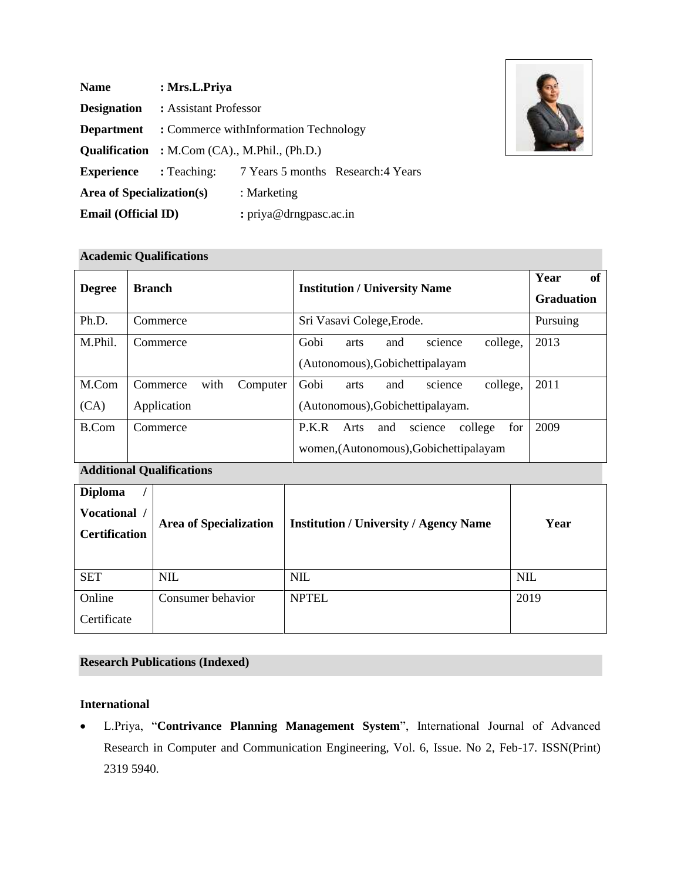| <b>Name</b>                      | : Mrs.L.Priya                                        |                                    |  |
|----------------------------------|------------------------------------------------------|------------------------------------|--|
| <b>Designation</b>               | : Assistant Professor                                |                                    |  |
| <b>Department</b>                | : Commerce withInformation Technology                |                                    |  |
|                                  | <b>Qualification</b> : M.Com (CA)., M.Phil., (Ph.D.) |                                    |  |
| <b>Experience</b>                | : Teaching:                                          | 7 Years 5 months Research: 4 Years |  |
| <b>Area of Specialization(s)</b> |                                                      | : Marketing                        |  |
| <b>Email (Official ID)</b>       |                                                      | : priya@drngpasc.ac.in             |  |



### **Academic Qualifications**

| <b>Degree</b> | <b>Branch</b>                | <b>Institution / University Name</b>              | Year<br><b>of</b><br><b>Graduation</b> |
|---------------|------------------------------|---------------------------------------------------|----------------------------------------|
| Ph.D.         | Commerce                     | Sri Vasavi Colege, Erode.                         | Pursuing                               |
| M.Phil.       | Commerce                     | Gobi<br>college,<br>and<br>science<br>arts        | 2013                                   |
|               |                              | (Autonomous), Gobichettipalayam                   |                                        |
| M.Com         | with<br>Commerce<br>Computer | Gobi<br>college,<br>and<br>arts<br>science        | 2011                                   |
| (CA)          | Application                  | (Autonomous), Gobichettipalayam.                  |                                        |
| B.Com         | Commerce                     | for<br>P.K.R<br>college<br>Arts<br>and<br>science | 2009                                   |
|               |                              | women, (Autonomous), Gobichettipalayam            |                                        |

# **Additional Qualifications**

| <b>Diploma</b><br>Vocational /<br><b>Certification</b> | <b>Area of Specialization</b> | <b>Institution / University / Agency Name</b> | Year       |
|--------------------------------------------------------|-------------------------------|-----------------------------------------------|------------|
| <b>SET</b>                                             | <b>NIL</b>                    | <b>NIL</b>                                    | <b>NIL</b> |
| Online                                                 | Consumer behavior             | <b>NPTEL</b>                                  | 2019       |
| Certificate                                            |                               |                                               |            |

## **Research Publications (Indexed)**

#### **International**

• L.Priya, "**Contrivance Planning Management System**", International Journal of Advanced Research in Computer and Communication Engineering, Vol. 6, Issue. No 2, Feb-17. ISSN(Print) 2319 5940.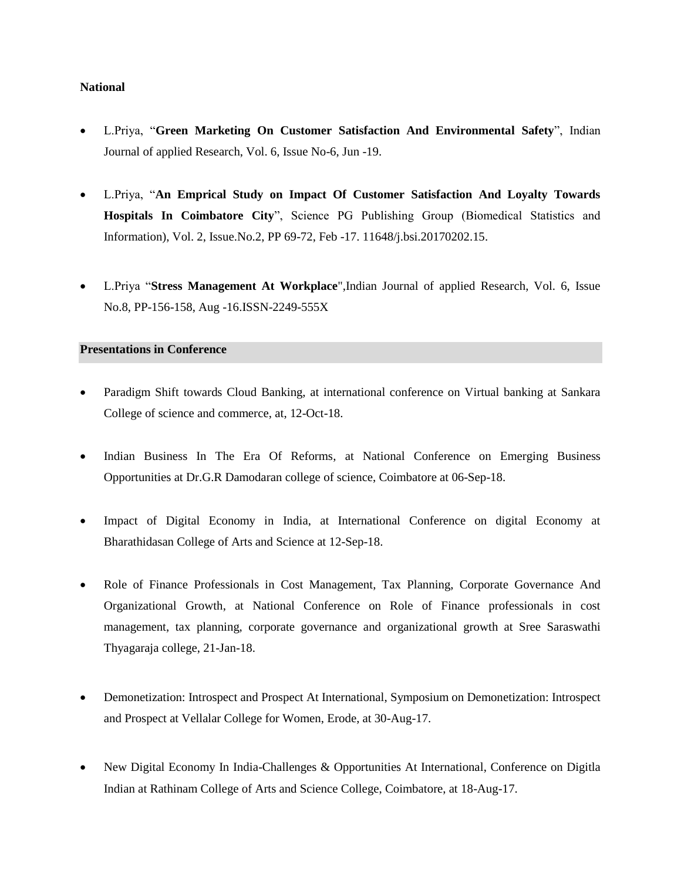#### **National**

- L.Priya, "**Green Marketing On Customer Satisfaction And Environmental Safety**", Indian Journal of applied Research, Vol. 6, Issue No-6, Jun -19.
- L.Priya, "**An Emprical Study on Impact Of Customer Satisfaction And Loyalty Towards Hospitals In Coimbatore City**", Science PG Publishing Group (Biomedical Statistics and Information), Vol. 2, Issue.No.2, PP 69-72, Feb -17. 11648/j.bsi.20170202.15.
- L.Priya "**Stress Management At Workplace**",Indian Journal of applied Research, Vol. 6, Issue No.8, PP-156-158, Aug -16.ISSN-2249-555X

#### **Presentations in Conference**

- Paradigm Shift towards Cloud Banking, at international conference on Virtual banking at Sankara College of science and commerce, at, 12-Oct-18.
- Indian Business In The Era Of Reforms, at National Conference on Emerging Business Opportunities at Dr.G.R Damodaran college of science, Coimbatore at 06-Sep-18.
- Impact of Digital Economy in India, at International Conference on digital Economy at Bharathidasan College of Arts and Science at 12-Sep-18.
- Role of Finance Professionals in Cost Management, Tax Planning, Corporate Governance And Organizational Growth, at National Conference on Role of Finance professionals in cost management, tax planning, corporate governance and organizational growth at Sree Saraswathi Thyagaraja college, 21-Jan-18.
- Demonetization: Introspect and Prospect At International, Symposium on Demonetization: Introspect and Prospect at Vellalar College for Women, Erode, at 30-Aug-17.
- New Digital Economy In India-Challenges & Opportunities At International, Conference on Digitla Indian at Rathinam College of Arts and Science College, Coimbatore, at 18-Aug-17.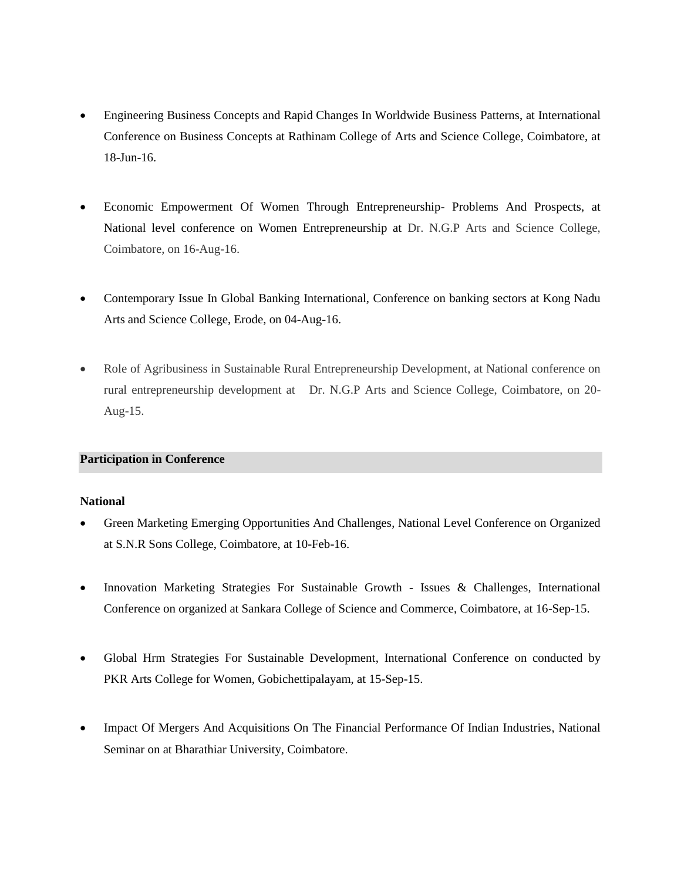- Engineering Business Concepts and Rapid Changes In Worldwide Business Patterns, at International Conference on Business Concepts at Rathinam College of Arts and Science College, Coimbatore, at 18-Jun-16.
- Economic Empowerment Of Women Through Entrepreneurship- Problems And Prospects, at National level conference on Women Entrepreneurship at Dr. N.G.P Arts and Science College, Coimbatore, on 16-Aug-16.
- Contemporary Issue In Global Banking International, Conference on banking sectors at Kong Nadu Arts and Science College, Erode, on 04-Aug-16.
- Role of Agribusiness in Sustainable Rural Entrepreneurship Development, at National conference on rural entrepreneurship development at Dr. N.G.P Arts and Science College, Coimbatore, on 20- Aug-15.

#### **Participation in Conference**

#### **National**

- Green Marketing Emerging Opportunities And Challenges, National Level Conference on Organized at S.N.R Sons College, Coimbatore, at 10-Feb-16.
- Innovation Marketing Strategies For Sustainable Growth Issues & Challenges, International Conference on organized at Sankara College of Science and Commerce, Coimbatore, at 16-Sep-15.
- Global Hrm Strategies For Sustainable Development, International Conference on conducted by PKR Arts College for Women, Gobichettipalayam, at 15-Sep-15.
- Impact Of Mergers And Acquisitions On The Financial Performance Of Indian Industries, National Seminar on at Bharathiar University, Coimbatore.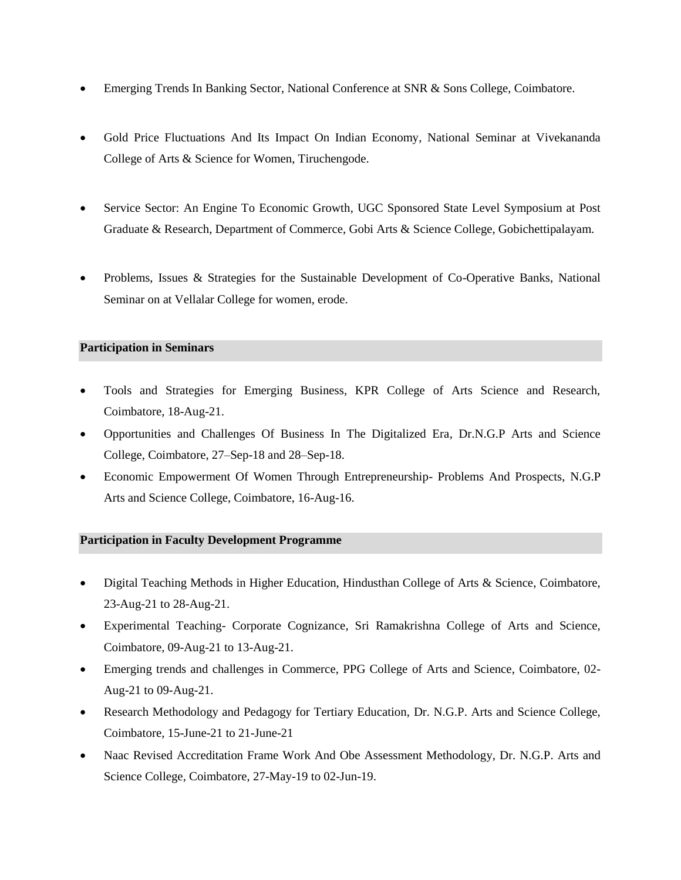- Emerging Trends In Banking Sector, National Conference at SNR & Sons College, Coimbatore.
- Gold Price Fluctuations And Its Impact On Indian Economy, National Seminar at Vivekananda College of Arts & Science for Women, Tiruchengode.
- Service Sector: An Engine To Economic Growth, UGC Sponsored State Level Symposium at Post Graduate & Research, Department of Commerce, Gobi Arts & Science College, Gobichettipalayam.
- Problems, Issues & Strategies for the Sustainable Development of Co-Operative Banks, National Seminar on at Vellalar College for women, erode.

### **Participation in Seminars**

- Tools and Strategies for Emerging Business, KPR College of Arts Science and Research, Coimbatore, 18-Aug-21.
- Opportunities and Challenges Of Business In The Digitalized Era, Dr.N.G.P Arts and Science College, Coimbatore, 27–Sep-18 and 28–Sep-18.
- Economic Empowerment Of Women Through Entrepreneurship- Problems And Prospects, N.G.P Arts and Science College, Coimbatore, 16-Aug-16.

#### **Participation in Faculty Development Programme**

- Digital Teaching Methods in Higher Education, Hindusthan College of Arts & Science, Coimbatore, 23-Aug-21 to 28-Aug-21.
- Experimental Teaching- Corporate Cognizance, Sri Ramakrishna College of Arts and Science, Coimbatore, 09-Aug-21 to 13-Aug-21.
- Emerging trends and challenges in Commerce, PPG College of Arts and Science, Coimbatore, 02- Aug-21 to 09-Aug-21.
- Research Methodology and Pedagogy for Tertiary Education, Dr. N.G.P. Arts and Science College, Coimbatore, 15-June-21 to 21-June-21
- Naac Revised Accreditation Frame Work And Obe Assessment Methodology, Dr. N.G.P. Arts and Science College, Coimbatore, 27-May-19 to 02-Jun-19.